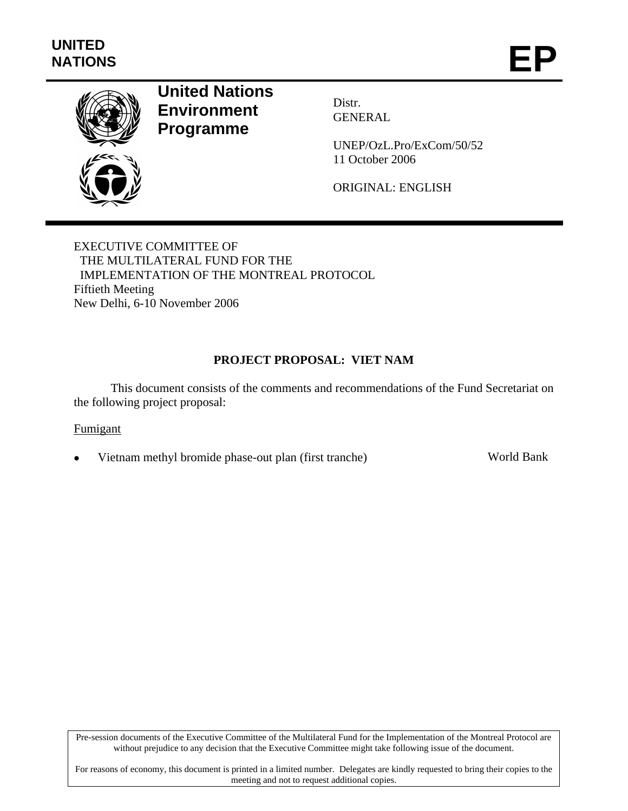

# **United Nations Environment Programme**

Distr. GENERAL

UNEP/OzL.Pro/ExCom/50/52 11 October 2006

ORIGINAL: ENGLISH

EXECUTIVE COMMITTEE OF THE MULTILATERAL FUND FOR THE IMPLEMENTATION OF THE MONTREAL PROTOCOL Fiftieth Meeting New Delhi, 6-10 November 2006

## **PROJECT PROPOSAL: VIET NAM**

This document consists of the comments and recommendations of the Fund Secretariat on the following project proposal:

## Fumigant

• Vietnam methyl bromide phase-out plan (first tranche) World Bank

Pre-session documents of the Executive Committee of the Multilateral Fund for the Implementation of the Montreal Protocol are without prejudice to any decision that the Executive Committee might take following issue of the document.

For reasons of economy, this document is printed in a limited number. Delegates are kindly requested to bring their copies to the meeting and not to request additional copies.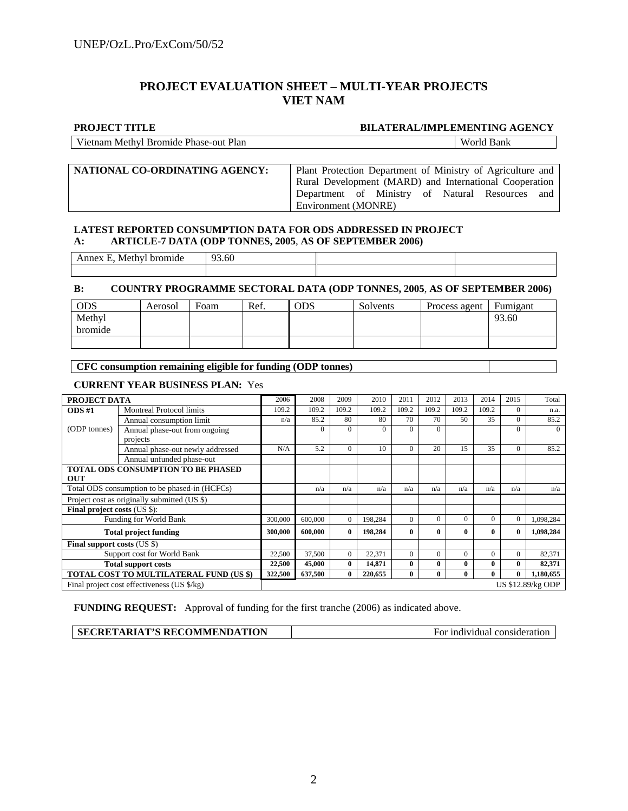## **PROJECT EVALUATION SHEET – MULTI-YEAR PROJECTS VIET NAM**

#### **PROJECT TITLE BILATERAL/IMPLEMENTING AGENCY**

World Bank

|  | Vietnam Methyl Bromide Phase-out Plan |  |
|--|---------------------------------------|--|
|  |                                       |  |

| NATIONAL CO-ORDINATING AGENCY: | Plant Protection Department of Ministry of Agriculture and |  |  |  |  |  |
|--------------------------------|------------------------------------------------------------|--|--|--|--|--|
|                                | Rural Development (MARD) and International Cooperation     |  |  |  |  |  |
|                                | Department of Ministry of Natural Resources and            |  |  |  |  |  |
|                                | Environment (MONRE)                                        |  |  |  |  |  |

#### **LATEST REPORTED CONSUMPTION DATA FOR ODS ADDRESSED IN PROJECT A: ARTICLE-7 DATA (ODP TONNES, 2005**, **AS OF SEPTEMBER 2006)**

| ------<br>∆⊿lethv<br>тие | $\Omega$<br>3.60<br>-- |  |
|--------------------------|------------------------|--|
|                          |                        |  |

#### **B: COUNTRY PROGRAMME SECTORAL DATA (ODP TONNES, 2005**, **AS OF SEPTEMBER 2006)**

| <b>ODS</b> | Aerosol | Foam | Ref. | ODS | Solvents | Process agent | Fumigant |
|------------|---------|------|------|-----|----------|---------------|----------|
| Methyl     |         |      |      |     |          |               | 93.60    |
| bromide    |         |      |      |     |          |               |          |
|            |         |      |      |     |          |               |          |

#### **CFC consumption remaining eligible for funding (ODP tonnes)**

#### **CURRENT YEAR BUSINESS PLAN:** Yes

| PROJECT DATA                                  |                                             | 2006    | 2008     | 2009         | 2010     | 2011         | 2012         | 2013     | 2014     | 2015         | Total             |
|-----------------------------------------------|---------------------------------------------|---------|----------|--------------|----------|--------------|--------------|----------|----------|--------------|-------------------|
| $ODS \#1$                                     | <b>Montreal Protocol limits</b>             | 109.2   | 109.2    | 109.2        | 109.2    | 109.2        | 109.2        | 109.2    | 109.2    | $\Omega$     | n.a.              |
|                                               | Annual consumption limit                    | n/a     | 85.2     | 80           | 80       | 70           | 70           | 50       | 35       | $\Omega$     | 85.2              |
| (ODP tonnes)                                  | Annual phase-out from ongoing               |         | $\Omega$ | $\Omega$     | $\Omega$ | $\Omega$     | $\Omega$     |          |          | $\theta$     | $\Omega$          |
|                                               | projects                                    |         |          |              |          |              |              |          |          |              |                   |
|                                               | Annual phase-out newly addressed            | N/A     | 5.2      | $\Omega$     | 10       | $\Omega$     | 20           | 15       | 35       | $\Omega$     | 85.2              |
|                                               | Annual unfunded phase-out                   |         |          |              |          |              |              |          |          |              |                   |
| <b>OUT</b>                                    | <b>TOTAL ODS CONSUMPTION TO BE PHASED</b>   |         |          |              |          |              |              |          |          |              |                   |
| Total ODS consumption to be phased-in (HCFCs) |                                             |         | n/a      | n/a          | n/a      | n/a          | n/a          | n/a      | n/a      | n/a          | n/a               |
| Project cost as originally submitted (US \$)  |                                             |         |          |              |          |              |              |          |          |              |                   |
| <b>Final project costs (US \$):</b>           |                                             |         |          |              |          |              |              |          |          |              |                   |
|                                               | Funding for World Bank                      | 300,000 | 600,000  | $\theta$     | 198,284  | $\Omega$     | $\Omega$     | $\Omega$ | $\Omega$ | $\theta$     | 1,098,284         |
|                                               | <b>Total project funding</b>                | 300,000 | 600.000  | $\mathbf{0}$ | 198,284  | $\mathbf{0}$ | $\mathbf{0}$ | 0        | 0        | $\mathbf{0}$ | 1,098,284         |
| <b>Final support costs (US \$)</b>            |                                             |         |          |              |          |              |              |          |          |              |                   |
|                                               | Support cost for World Bank                 | 22,500  | 37,500   | $\mathbf{0}$ | 22,371   | $\Omega$     | $\Omega$     | $\Omega$ | $\Omega$ | $\Omega$     | 82,371            |
| <b>Total support costs</b>                    |                                             | 22,500  | 45,000   | $\bf{0}$     | 14,871   | $\mathbf{0}$ | $\mathbf{0}$ | 0        | 0        | $\bf{0}$     | 82,371            |
| TOTAL COST TO MULTILATERAL FUND (US \$)       |                                             | 322,500 | 637,500  | $\bf{0}$     | 220,655  | $\mathbf{0}$ | $\mathbf{0}$ | 0        | $\bf{0}$ | $\bf{0}$     | 1,180,655         |
|                                               | Final project cost effectiveness (US \$/kg) |         |          |              |          |              |              |          |          |              | US \$12.89/kg ODP |

**FUNDING REQUEST:** Approval of funding for the first tranche (2006) as indicated above.

| SECRETARIAT'S RECOMMENDATION<br>For individual consideration |
|--------------------------------------------------------------|
|--------------------------------------------------------------|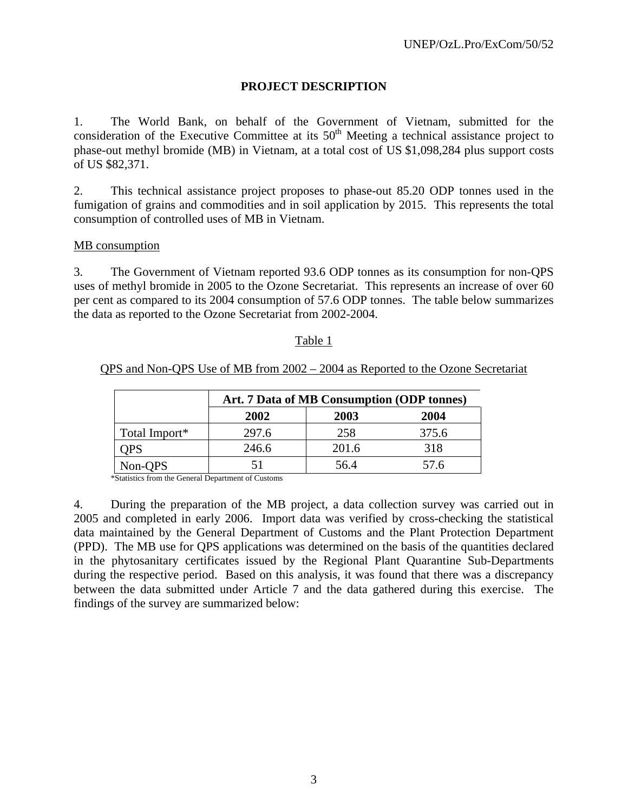## **PROJECT DESCRIPTION**

1. The World Bank, on behalf of the Government of Vietnam, submitted for the consideration of the Executive Committee at its  $50<sup>th</sup>$  Meeting a technical assistance project to phase-out methyl bromide (MB) in Vietnam, at a total cost of US \$1,098,284 plus support costs of US \$82,371.

2. This technical assistance project proposes to phase-out 85.20 ODP tonnes used in the fumigation of grains and commodities and in soil application by 2015. This represents the total consumption of controlled uses of MB in Vietnam.

### MB consumption

3. The Government of Vietnam reported 93.6 ODP tonnes as its consumption for non-QPS uses of methyl bromide in 2005 to the Ozone Secretariat. This represents an increase of over 60 per cent as compared to its 2004 consumption of 57.6 ODP tonnes. The table below summarizes the data as reported to the Ozone Secretariat from 2002-2004.

### Table 1

## QPS and Non-QPS Use of MB from 2002 – 2004 as Reported to the Ozone Secretariat

|               | Art. 7 Data of MB Consumption (ODP tonnes) |       |       |  |  |  |
|---------------|--------------------------------------------|-------|-------|--|--|--|
|               | 2003<br>2004<br>2002                       |       |       |  |  |  |
| Total Import* | 297.6                                      | 258   | 375.6 |  |  |  |
| OPS           | 246.6                                      | 201.6 | 318   |  |  |  |
| Non-QPS       |                                            | 56.4  | 57.6  |  |  |  |

\*Statistics from the General Department of Customs

4. During the preparation of the MB project, a data collection survey was carried out in 2005 and completed in early 2006. Import data was verified by cross-checking the statistical data maintained by the General Department of Customs and the Plant Protection Department (PPD). The MB use for QPS applications was determined on the basis of the quantities declared in the phytosanitary certificates issued by the Regional Plant Quarantine Sub-Departments during the respective period. Based on this analysis, it was found that there was a discrepancy between the data submitted under Article 7 and the data gathered during this exercise. The findings of the survey are summarized below: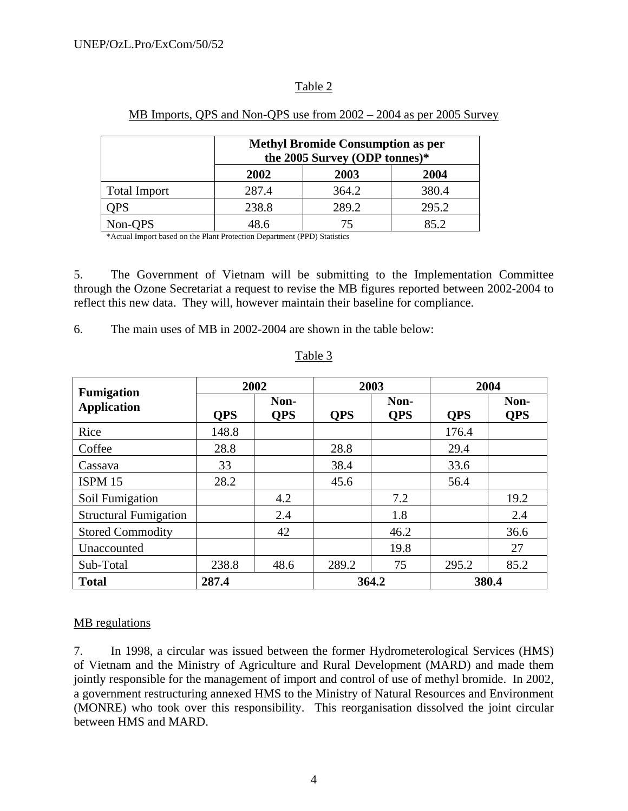## Table 2

|                     | <b>Methyl Bromide Consumption as per</b><br>the 2005 Survey (ODP tonnes)* |       |       |  |  |
|---------------------|---------------------------------------------------------------------------|-------|-------|--|--|
|                     | 2002                                                                      | 2003  | 2004  |  |  |
| <b>Total Import</b> | 287.4                                                                     | 364.2 | 380.4 |  |  |
| <b>OPS</b>          | 238.8                                                                     | 289.2 | 295.2 |  |  |
| Non-QPS             | 48.6                                                                      |       | 85.2  |  |  |

### MB Imports, QPS and Non-QPS use from 2002 – 2004 as per 2005 Survey

\*Actual Import based on the Plant Protection Department (PPD) Statistics

5. The Government of Vietnam will be submitting to the Implementation Committee through the Ozone Secretariat a request to revise the MB figures reported between 2002-2004 to reflect this new data. They will, however maintain their baseline for compliance.

6. The main uses of MB in 2002-2004 are shown in the table below:

| <b>Fumigation</b>            | 2002       |                    |                                  | 2003  | 2004       |                    |
|------------------------------|------------|--------------------|----------------------------------|-------|------------|--------------------|
| <b>Application</b>           | <b>OPS</b> | Non-<br><b>OPS</b> | Non-<br><b>OPS</b><br><b>OPS</b> |       | <b>OPS</b> | Non-<br><b>QPS</b> |
| Rice                         | 148.8      |                    |                                  |       | 176.4      |                    |
| Coffee                       | 28.8       |                    | 28.8                             |       | 29.4       |                    |
| Cassava                      | 33         |                    | 38.4                             |       | 33.6       |                    |
| <b>ISPM 15</b>               | 28.2       |                    | 45.6                             |       | 56.4       |                    |
| Soil Fumigation              |            | 4.2                |                                  | 7.2   |            | 19.2               |
| <b>Structural Fumigation</b> |            | 2.4                |                                  | 1.8   |            | 2.4                |
| <b>Stored Commodity</b>      |            | 42                 |                                  | 46.2  |            | 36.6               |
| Unaccounted                  |            |                    |                                  | 19.8  |            | 27                 |
| Sub-Total                    | 238.8      | 48.6               | 289.2                            | 75    | 295.2      | 85.2               |
| <b>Total</b>                 | 287.4      |                    |                                  | 364.2 |            | 380.4              |

#### Table 3

## MB regulations

7. In 1998, a circular was issued between the former Hydrometerological Services (HMS) of Vietnam and the Ministry of Agriculture and Rural Development (MARD) and made them jointly responsible for the management of import and control of use of methyl bromide. In 2002, a government restructuring annexed HMS to the Ministry of Natural Resources and Environment (MONRE) who took over this responsibility. This reorganisation dissolved the joint circular between HMS and MARD.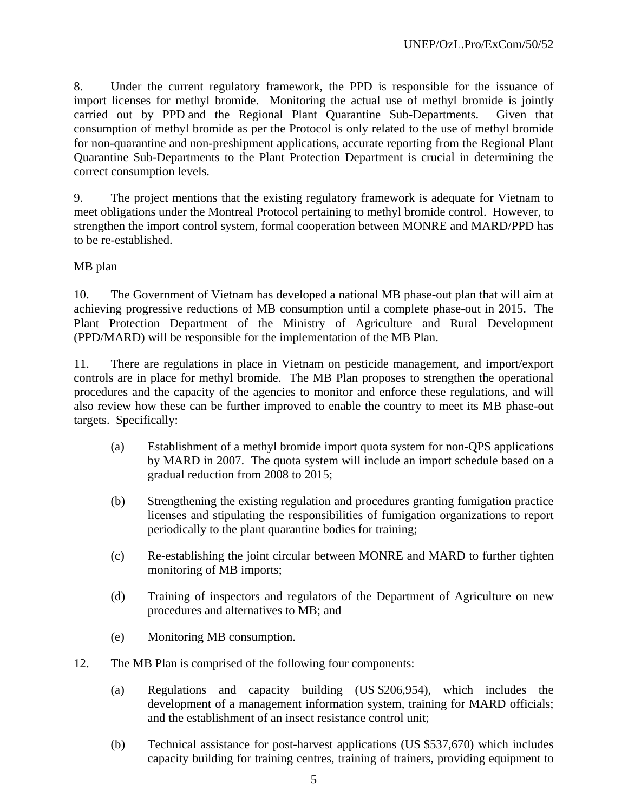8. Under the current regulatory framework, the PPD is responsible for the issuance of import licenses for methyl bromide. Monitoring the actual use of methyl bromide is jointly carried out by PPD and the Regional Plant Quarantine Sub-Departments. Given that consumption of methyl bromide as per the Protocol is only related to the use of methyl bromide for non-quarantine and non-preshipment applications, accurate reporting from the Regional Plant Quarantine Sub-Departments to the Plant Protection Department is crucial in determining the correct consumption levels.

9. The project mentions that the existing regulatory framework is adequate for Vietnam to meet obligations under the Montreal Protocol pertaining to methyl bromide control. However, to strengthen the import control system, formal cooperation between MONRE and MARD/PPD has to be re-established.

## MB plan

10. The Government of Vietnam has developed a national MB phase-out plan that will aim at achieving progressive reductions of MB consumption until a complete phase-out in 2015. The Plant Protection Department of the Ministry of Agriculture and Rural Development (PPD/MARD) will be responsible for the implementation of the MB Plan.

11. There are regulations in place in Vietnam on pesticide management, and import/export controls are in place for methyl bromide. The MB Plan proposes to strengthen the operational procedures and the capacity of the agencies to monitor and enforce these regulations, and will also review how these can be further improved to enable the country to meet its MB phase-out targets. Specifically:

- (a) Establishment of a methyl bromide import quota system for non-QPS applications by MARD in 2007. The quota system will include an import schedule based on a gradual reduction from 2008 to 2015;
- (b) Strengthening the existing regulation and procedures granting fumigation practice licenses and stipulating the responsibilities of fumigation organizations to report periodically to the plant quarantine bodies for training;
- (c) Re-establishing the joint circular between MONRE and MARD to further tighten monitoring of MB imports;
- (d) Training of inspectors and regulators of the Department of Agriculture on new procedures and alternatives to MB; and
- (e) Monitoring MB consumption.
- 12. The MB Plan is comprised of the following four components:
	- (a) Regulations and capacity building (US \$206,954), which includes the development of a management information system, training for MARD officials; and the establishment of an insect resistance control unit;
	- (b) Technical assistance for post-harvest applications (US \$537,670) which includes capacity building for training centres, training of trainers, providing equipment to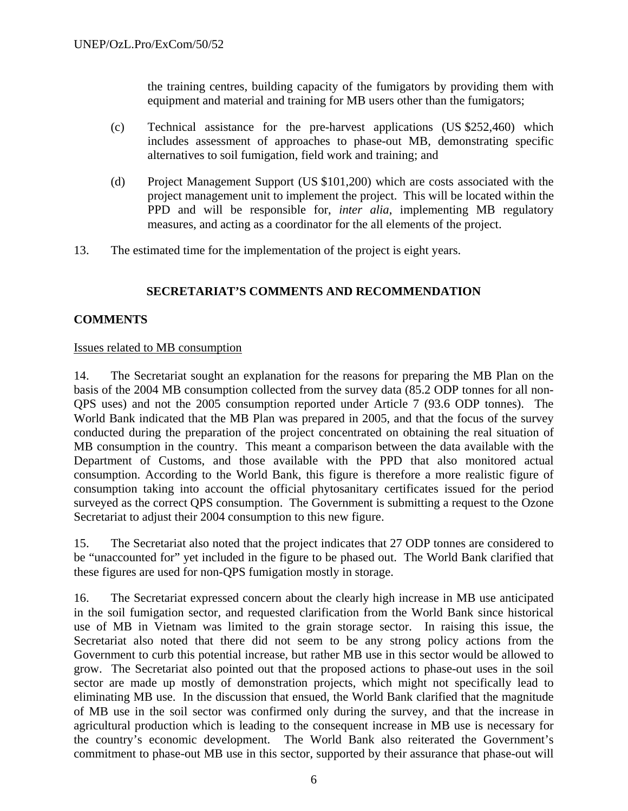the training centres, building capacity of the fumigators by providing them with equipment and material and training for MB users other than the fumigators;

- (c) Technical assistance for the pre-harvest applications (US \$252,460) which includes assessment of approaches to phase-out MB, demonstrating specific alternatives to soil fumigation, field work and training; and
- (d) Project Management Support (US \$101,200) which are costs associated with the project management unit to implement the project. This will be located within the PPD and will be responsible for, *inter alia*, implementing MB regulatory measures, and acting as a coordinator for the all elements of the project.
- 13. The estimated time for the implementation of the project is eight years.

## **SECRETARIAT'S COMMENTS AND RECOMMENDATION**

## **COMMENTS**

## Issues related to MB consumption

14. The Secretariat sought an explanation for the reasons for preparing the MB Plan on the basis of the 2004 MB consumption collected from the survey data (85.2 ODP tonnes for all non-QPS uses) and not the 2005 consumption reported under Article 7 (93.6 ODP tonnes). The World Bank indicated that the MB Plan was prepared in 2005, and that the focus of the survey conducted during the preparation of the project concentrated on obtaining the real situation of MB consumption in the country. This meant a comparison between the data available with the Department of Customs, and those available with the PPD that also monitored actual consumption. According to the World Bank, this figure is therefore a more realistic figure of consumption taking into account the official phytosanitary certificates issued for the period surveyed as the correct QPS consumption. The Government is submitting a request to the Ozone Secretariat to adjust their 2004 consumption to this new figure.

15. The Secretariat also noted that the project indicates that 27 ODP tonnes are considered to be "unaccounted for" yet included in the figure to be phased out. The World Bank clarified that these figures are used for non-QPS fumigation mostly in storage.

16. The Secretariat expressed concern about the clearly high increase in MB use anticipated in the soil fumigation sector, and requested clarification from the World Bank since historical use of MB in Vietnam was limited to the grain storage sector. In raising this issue, the Secretariat also noted that there did not seem to be any strong policy actions from the Government to curb this potential increase, but rather MB use in this sector would be allowed to grow. The Secretariat also pointed out that the proposed actions to phase-out uses in the soil sector are made up mostly of demonstration projects, which might not specifically lead to eliminating MB use. In the discussion that ensued, the World Bank clarified that the magnitude of MB use in the soil sector was confirmed only during the survey, and that the increase in agricultural production which is leading to the consequent increase in MB use is necessary for the country's economic development. The World Bank also reiterated the Government's commitment to phase-out MB use in this sector, supported by their assurance that phase-out will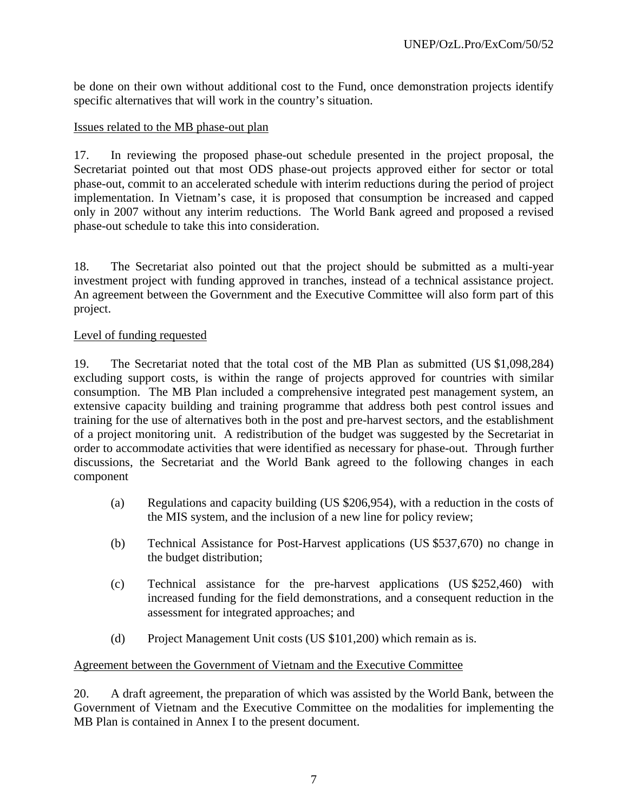be done on their own without additional cost to the Fund, once demonstration projects identify specific alternatives that will work in the country's situation.

## Issues related to the MB phase-out plan

17. In reviewing the proposed phase-out schedule presented in the project proposal, the Secretariat pointed out that most ODS phase-out projects approved either for sector or total phase-out, commit to an accelerated schedule with interim reductions during the period of project implementation. In Vietnam's case, it is proposed that consumption be increased and capped only in 2007 without any interim reductions. The World Bank agreed and proposed a revised phase-out schedule to take this into consideration.

18. The Secretariat also pointed out that the project should be submitted as a multi-year investment project with funding approved in tranches, instead of a technical assistance project. An agreement between the Government and the Executive Committee will also form part of this project.

## Level of funding requested

19. The Secretariat noted that the total cost of the MB Plan as submitted (US \$1,098,284) excluding support costs, is within the range of projects approved for countries with similar consumption. The MB Plan included a comprehensive integrated pest management system, an extensive capacity building and training programme that address both pest control issues and training for the use of alternatives both in the post and pre-harvest sectors, and the establishment of a project monitoring unit. A redistribution of the budget was suggested by the Secretariat in order to accommodate activities that were identified as necessary for phase-out. Through further discussions, the Secretariat and the World Bank agreed to the following changes in each component

- (a) Regulations and capacity building (US \$206,954), with a reduction in the costs of the MIS system, and the inclusion of a new line for policy review;
- (b) Technical Assistance for Post-Harvest applications (US \$537,670) no change in the budget distribution;
- (c) Technical assistance for the pre-harvest applications (US \$252,460) with increased funding for the field demonstrations, and a consequent reduction in the assessment for integrated approaches; and
- (d) Project Management Unit costs (US \$101,200) which remain as is.

## Agreement between the Government of Vietnam and the Executive Committee

20. A draft agreement, the preparation of which was assisted by the World Bank, between the Government of Vietnam and the Executive Committee on the modalities for implementing the MB Plan is contained in Annex I to the present document.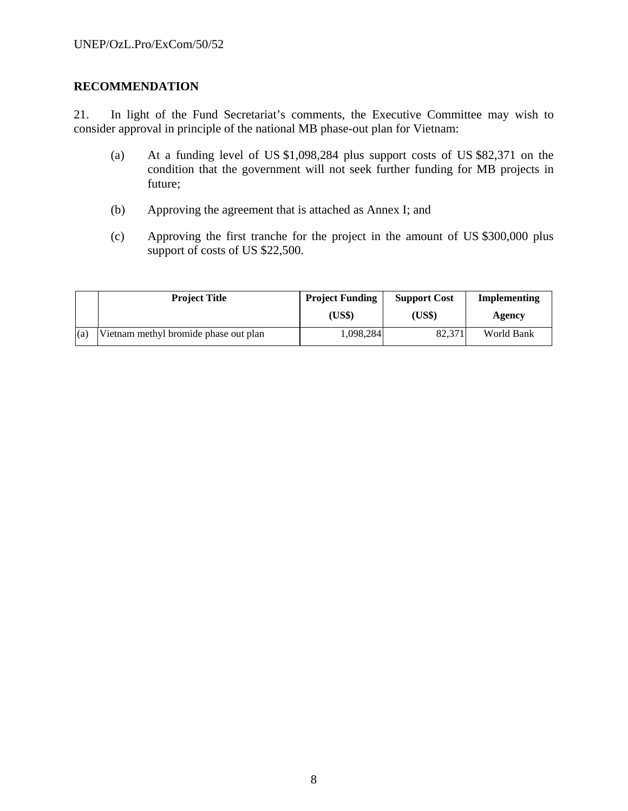## **RECOMMENDATION**

21. In light of the Fund Secretariat's comments, the Executive Committee may wish to consider approval in principle of the national MB phase-out plan for Vietnam:

- (a) At a funding level of US \$1,098,284 plus support costs of US \$82,371 on the condition that the government will not seek further funding for MB projects in future;
- (b) Approving the agreement that is attached as Annex I; and
- (c) Approving the first tranche for the project in the amount of US \$300,000 plus support of costs of US \$22,500.

|     | <b>Project Title</b>                  | <b>Project Funding</b> | <b>Support Cost</b> | Implementing |
|-----|---------------------------------------|------------------------|---------------------|--------------|
|     |                                       | (US\$)                 | (US\$)              | Agency       |
| (a) | Vietnam methyl bromide phase out plan | 1,098,284              | 82,371              | World Bank   |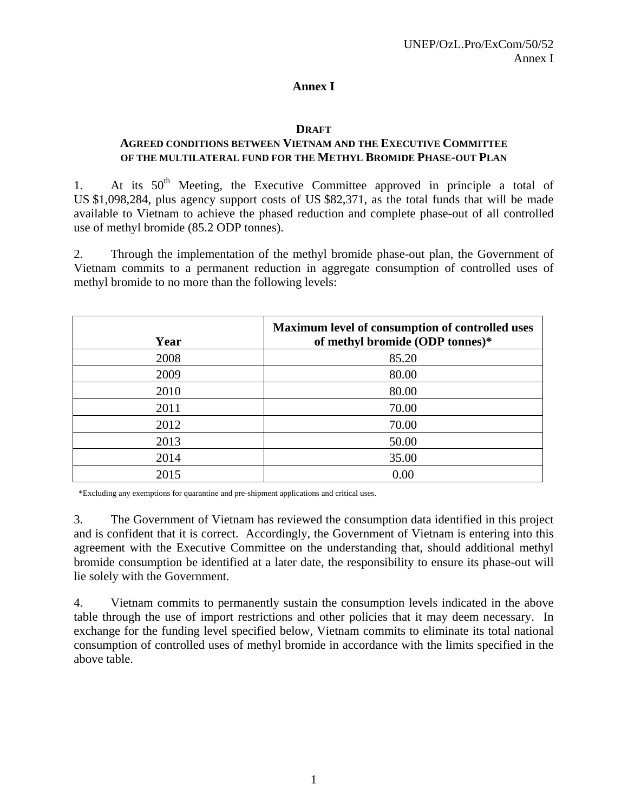## **Annex I**

## **DRAFT**

## **AGREED CONDITIONS BETWEEN VIETNAM AND THE EXECUTIVE COMMITTEE OF THE MULTILATERAL FUND FOR THE METHYL BROMIDE PHASE-OUT PLAN**

1. At its  $50<sup>th</sup>$  Meeting, the Executive Committee approved in principle a total of US \$1,098,284, plus agency support costs of US \$82,371, as the total funds that will be made available to Vietnam to achieve the phased reduction and complete phase-out of all controlled use of methyl bromide (85.2 ODP tonnes).

2. Through the implementation of the methyl bromide phase-out plan, the Government of Vietnam commits to a permanent reduction in aggregate consumption of controlled uses of methyl bromide to no more than the following levels:

| Year | Maximum level of consumption of controlled uses<br>of methyl bromide (ODP tonnes)* |
|------|------------------------------------------------------------------------------------|
| 2008 | 85.20                                                                              |
| 2009 | 80.00                                                                              |
| 2010 | 80.00                                                                              |
| 2011 | 70.00                                                                              |
| 2012 | 70.00                                                                              |
| 2013 | 50.00                                                                              |
| 2014 | 35.00                                                                              |
| 2015 | 0.00                                                                               |

\*Excluding any exemptions for quarantine and pre-shipment applications and critical uses.

3. The Government of Vietnam has reviewed the consumption data identified in this project and is confident that it is correct. Accordingly, the Government of Vietnam is entering into this agreement with the Executive Committee on the understanding that, should additional methyl bromide consumption be identified at a later date, the responsibility to ensure its phase-out will lie solely with the Government.

4. Vietnam commits to permanently sustain the consumption levels indicated in the above table through the use of import restrictions and other policies that it may deem necessary. In exchange for the funding level specified below, Vietnam commits to eliminate its total national consumption of controlled uses of methyl bromide in accordance with the limits specified in the above table.